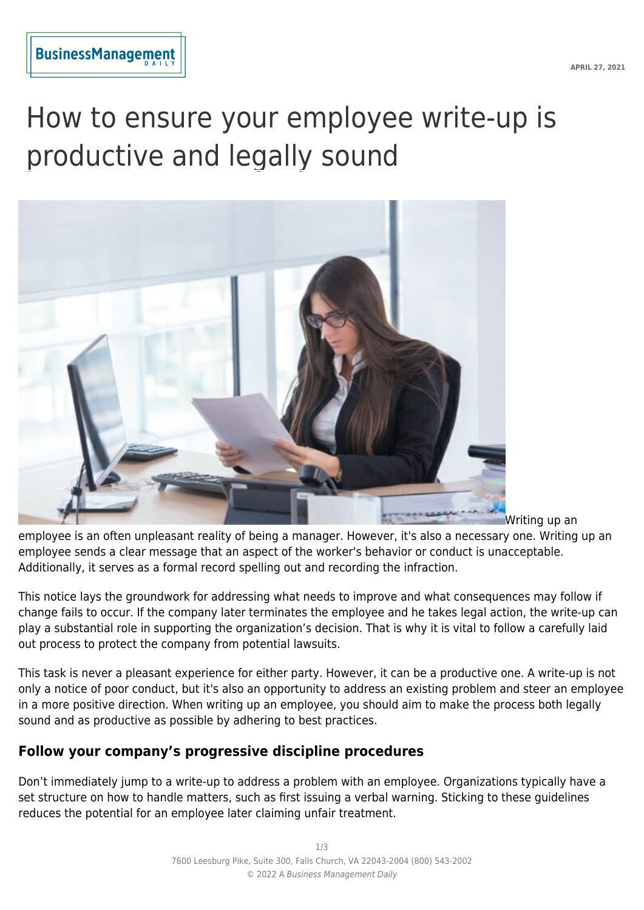# How to ensure your employee write-up is productive and legally sound



Writing up an

employee is an often unpleasant reality of being a manager. However, it's also a necessary one. Writing up an employee sends a clear message that an aspect of the worker's behavior or conduct is unacceptable. Additionally, it serves as a formal record spelling out and recording the infraction.

This notice lays the groundwork for addressing what needs to improve and what consequences may follow if change fails to occur. If the company later terminates the employee and he takes legal action, the write-up can play a substantial role in supporting the organization's decision. That is why it is vital to follow a carefully laid out process to protect the company from potential lawsuits.

This task is never a pleasant experience for either party. However, it can be a productive one. A write-up is not only a notice of poor conduct, but it's also an opportunity to address an existing problem and steer an employee in a more positive direction. When writing up an employee, you should aim to make the process both legally sound and as productive as possible by adhering to best practices.

# **Follow your company's progressive discipline procedures**

Don't immediately jump to a write-up to address a problem with an employee. Organizations typically have a set structure on how to handle matters, such as first issuing a verbal warning. Sticking to these guidelines reduces the potential for an employee later claiming unfair treatment.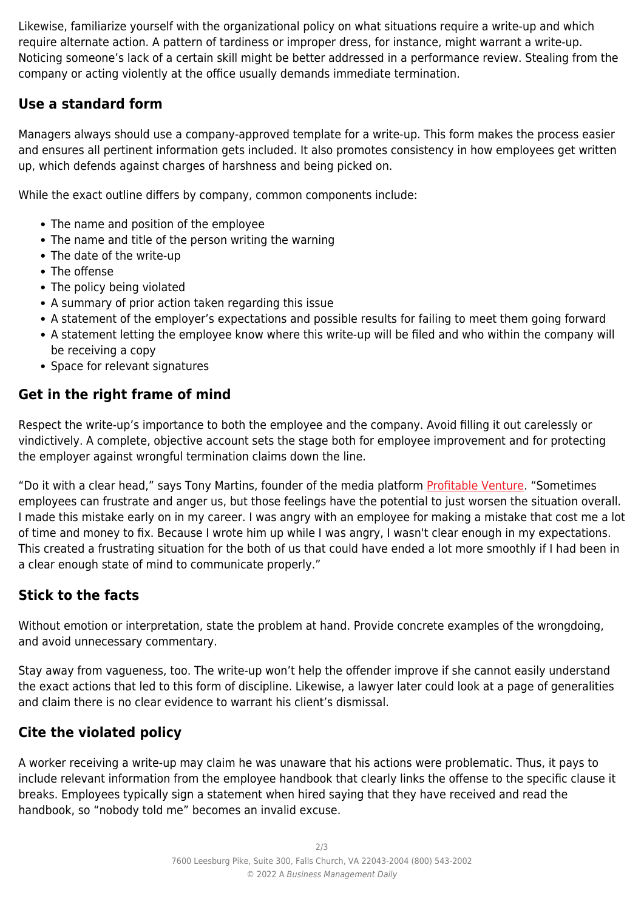Likewise, familiarize yourself with the organizational policy on what situations require a write-up and which require alternate action. A pattern of tardiness or improper dress, for instance, might warrant a write-up. Noticing someone's lack of a certain skill might be better addressed in a performance review. Stealing from the company or acting violently at the office usually demands immediate termination.

# **Use a standard form**

Managers always should use a company-approved template for a write-up. This form makes the process easier and ensures all pertinent information gets included. It also promotes consistency in how employees get written up, which defends against charges of harshness and being picked on.

While the exact outline differs by company, common components include:

- The name and position of the employee
- The name and title of the person writing the warning
- The date of the write-up
- The offense
- The policy being violated
- A summary of prior action taken regarding this issue
- A statement of the employer's expectations and possible results for failing to meet them going forward
- A statement letting the employee know where this write-up will be filed and who within the company will be receiving a copy
- Space for relevant signatures

### **Get in the right frame of mind**

Respect the write-up's importance to both the employee and the company. Avoid filling it out carelessly or vindictively. A complete, objective account sets the stage both for employee improvement and for protecting the employer against wrongful termination claims down the line.

"Do it with a clear head," says Tony Martins, founder of the media platform [Profitable Venture.](https://www.profitableventure.com/) "Sometimes employees can frustrate and anger us, but those feelings have the potential to just worsen the situation overall. I made this mistake early on in my career. I was angry with an employee for making a mistake that cost me a lot of time and money to fix. Because I wrote him up while I was angry, I wasn't clear enough in my expectations. This created a frustrating situation for the both of us that could have ended a lot more smoothly if I had been in a clear enough state of mind to communicate properly."

# **Stick to the facts**

Without emotion or interpretation, state the problem at hand. Provide concrete examples of the wrongdoing, and avoid unnecessary commentary.

Stay away from vagueness, too. The write-up won't help the offender improve if she cannot easily understand the exact actions that led to this form of discipline. Likewise, a lawyer later could look at a page of generalities and claim there is no clear evidence to warrant his client's dismissal.

# **Cite the violated policy**

A worker receiving a write-up may claim he was unaware that his actions were problematic. Thus, it pays to include relevant information from the employee handbook that clearly links the offense to the specific clause it breaks. Employees typically sign a statement when hired saying that they have received and read the handbook, so "nobody told me" becomes an invalid excuse.